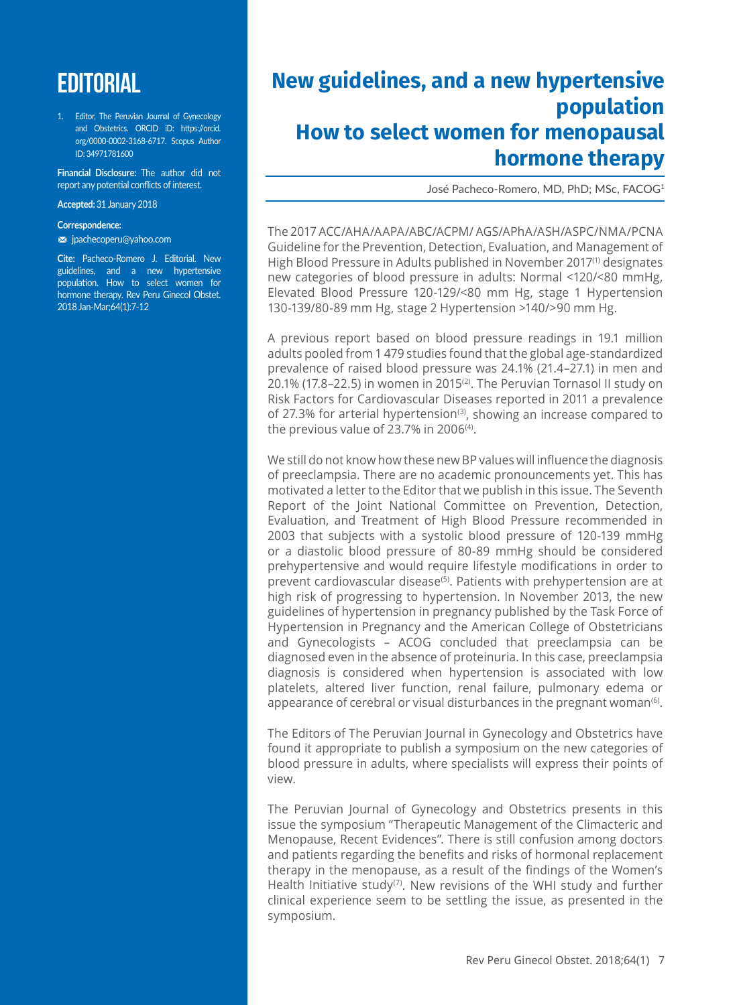# **EDITORIAL**

1. Editor, The Peruvian Journal of Gynecology and Obstetrics. ORCID iD: https://orcid. org/0000-0002-3168-6717. Scopus Author ID: 34971781600

**Financial Disclosure:** The author did not report any potential conflicts of interest.

#### **Accepted:** 31 January 2018

#### **Correspondence:**

m jpachecoperu@yahoo.com

**Cite:** Pacheco-Romero J. Editorial. New guidelines, and a new hypertensive population. How to select women for hormone therapy. Rev Peru Ginecol Obstet. 2018 Jan-Mar;64(1):7-12

## **New guidelines, and a new hypertensive population How to select women for menopausal hormone therapy**

José Pacheco-Romero, MD, PhD; MSc, FACOG1

The 2017 ACC/AHA/AAPA/ABC/ACPM/ AGS/APhA/ASH/ASPC/NMA/PCNA Guideline for the Prevention, Detection, Evaluation, and Management of High Blood Pressure in Adults published in November 2017(1) designates new categories of blood pressure in adults: Normal <120/<80 mmHg, Elevated Blood Pressure 120-129/<80 mm Hg, stage 1 Hypertension 130-139/80-89 mm Hg, stage 2 Hypertension >140/>90 mm Hg.

A previous report based on blood pressure readings in 19.1 million adults pooled from 1 479 studies found that the global age-standardized prevalence of raised blood pressure was 24.1% (21.4–27.1) in men and 20.1% (17.8–22.5) in women in 2015<sup>(2)</sup>. The Peruvian Tornasol II study on Risk Factors for Cardiovascular Diseases reported in 2011 a prevalence of 27.3% for arterial hypertension<sup>(3)</sup>, showing an increase compared to the previous value of 23.7% in 2006<sup>(4)</sup>.

We still do not know how these new BP values will influence the diagnosis of preeclampsia. There are no academic pronouncements yet. This has motivated a letter to the Editor that we publish in this issue. The Seventh Report of the Joint National Committee on Prevention, Detection, Evaluation, and Treatment of High Blood Pressure recommended in 2003 that subjects with a systolic blood pressure of 120-139 mmHg or a diastolic blood pressure of 80-89 mmHg should be considered prehypertensive and would require lifestyle modifications in order to prevent cardiovascular disease<sup>(5)</sup>. Patients with prehypertension are at high risk of progressing to hypertension. In November 2013, the new guidelines of hypertension in pregnancy published by the Task Force of Hypertension in Pregnancy and the American College of Obstetricians and Gynecologists – ACOG concluded that preeclampsia can be diagnosed even in the absence of proteinuria. In this case, preeclampsia diagnosis is considered when hypertension is associated with low platelets, altered liver function, renal failure, pulmonary edema or appearance of cerebral or visual disturbances in the pregnant woman<sup>(6)</sup>.

The Editors of The Peruvian Journal in Gynecology and Obstetrics have found it appropriate to publish a symposium on the new categories of blood pressure in adults, where specialists will express their points of view.

The Peruvian Journal of Gynecology and Obstetrics presents in this issue the symposium "Therapeutic Management of the Climacteric and Menopause, Recent Evidences". There is still confusion among doctors and patients regarding the benefits and risks of hormonal replacement therapy in the menopause, as a result of the findings of the Women's Health Initiative study<sup>(7)</sup>. New revisions of the WHI study and further clinical experience seem to be settling the issue, as presented in the symposium.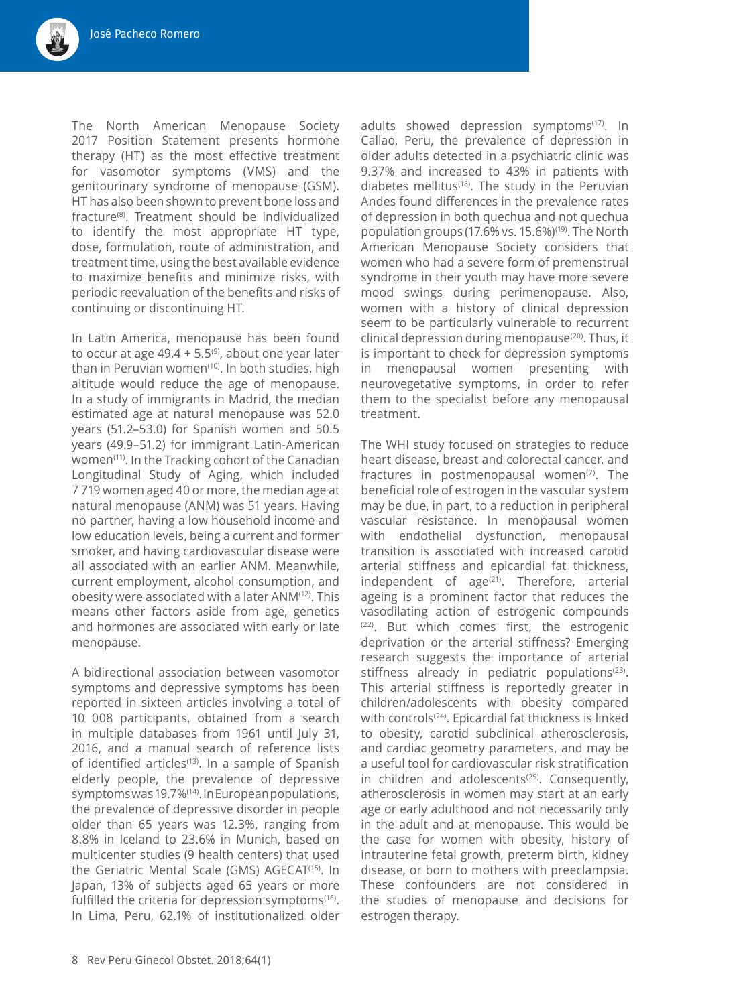The North American Menopause Society 2017 Position Statement presents hormone therapy (HT) as the most effective treatment for vasomotor symptoms (VMS) and the genitourinary syndrome of menopause (GSM). HT has also been shown to prevent bone loss and fracture(8). Treatment should be individualized to identify the most appropriate HT type, dose, formulation, route of administration, and treatment time, using the best available evidence to maximize benefits and minimize risks, with periodic reevaluation of the benefits and risks of continuing or discontinuing HT.

In Latin America, menopause has been found to occur at age  $49.4 + 5.5^{(9)}$ , about one year later than in Peruvian women<sup>(10)</sup>. In both studies, high altitude would reduce the age of menopause. In a study of immigrants in Madrid, the median estimated age at natural menopause was 52.0 years (51.2–53.0) for Spanish women and 50.5 years (49.9–51.2) for immigrant Latin-American women<sup>(11)</sup>. In the Tracking cohort of the Canadian Longitudinal Study of Aging, which included 7 719 women aged 40 or more, the median age at natural menopause (ANM) was 51 years. Having no partner, having a low household income and low education levels, being a current and former smoker, and having cardiovascular disease were all associated with an earlier ANM. Meanwhile, current employment, alcohol consumption, and obesity were associated with a later ANM(12). This means other factors aside from age, genetics and hormones are associated with early or late menopause.

A bidirectional association between vasomotor symptoms and depressive symptoms has been reported in sixteen articles involving a total of 10 008 participants, obtained from a search in multiple databases from 1961 until July 31, 2016, and a manual search of reference lists of identified articles<sup>(13)</sup>. In a sample of Spanish elderly people, the prevalence of depressive symptoms was 19.7%(14). In European populations, the prevalence of depressive disorder in people older than 65 years was 12.3%, ranging from 8.8% in Iceland to 23.6% in Munich, based on multicenter studies (9 health centers) that used the Geriatric Mental Scale (GMS) AGECAT<sup>(15)</sup>. In Japan, 13% of subjects aged 65 years or more fulfilled the criteria for depression symptoms<sup>(16)</sup>. In Lima, Peru, 62.1% of institutionalized older

adults showed depression symptoms<sup>(17)</sup>. In Callao, Peru, the prevalence of depression in older adults detected in a psychiatric clinic was 9.37% and increased to 43% in patients with diabetes mellitus<sup>(18)</sup>. The study in the Peruvian Andes found differences in the prevalence rates of depression in both quechua and not quechua population groups (17.6% vs. 15.6%)<sup>(19)</sup>. The North American Menopause Society considers that women who had a severe form of premenstrual syndrome in their youth may have more severe mood swings during perimenopause. Also, women with a history of clinical depression seem to be particularly vulnerable to recurrent clinical depression during menopause(20). Thus, it is important to check for depression symptoms in menopausal women presenting with neurovegetative symptoms, in order to refer them to the specialist before any menopausal treatment.

The WHI study focused on strategies to reduce heart disease, breast and colorectal cancer, and fractures in postmenopausal women $(7)$ . The beneficial role of estrogen in the vascular system may be due, in part, to a reduction in peripheral vascular resistance. In menopausal women with endothelial dysfunction, menopausal transition is associated with increased carotid arterial stiffness and epicardial fat thickness, independent of  $age^{(21)}$ . Therefore, arterial ageing is a prominent factor that reduces the vasodilating action of estrogenic compounds (22). But which comes first, the estrogenic deprivation or the arterial stiffness? Emerging research suggests the importance of arterial stiffness already in pediatric populations $(23)$ . This arterial stiffness is reportedly greater in children/adolescents with obesity compared with controls<sup>(24)</sup>. Epicardial fat thickness is linked to obesity, carotid subclinical atherosclerosis, and cardiac geometry parameters, and may be a useful tool for cardiovascular risk stratification in children and adolescents<sup>(25)</sup>. Consequently, atherosclerosis in women may start at an early age or early adulthood and not necessarily only in the adult and at menopause. This would be the case for women with obesity, history of intrauterine fetal growth, preterm birth, kidney disease, or born to mothers with preeclampsia. These confounders are not considered in the studies of menopause and decisions for estrogen therapy.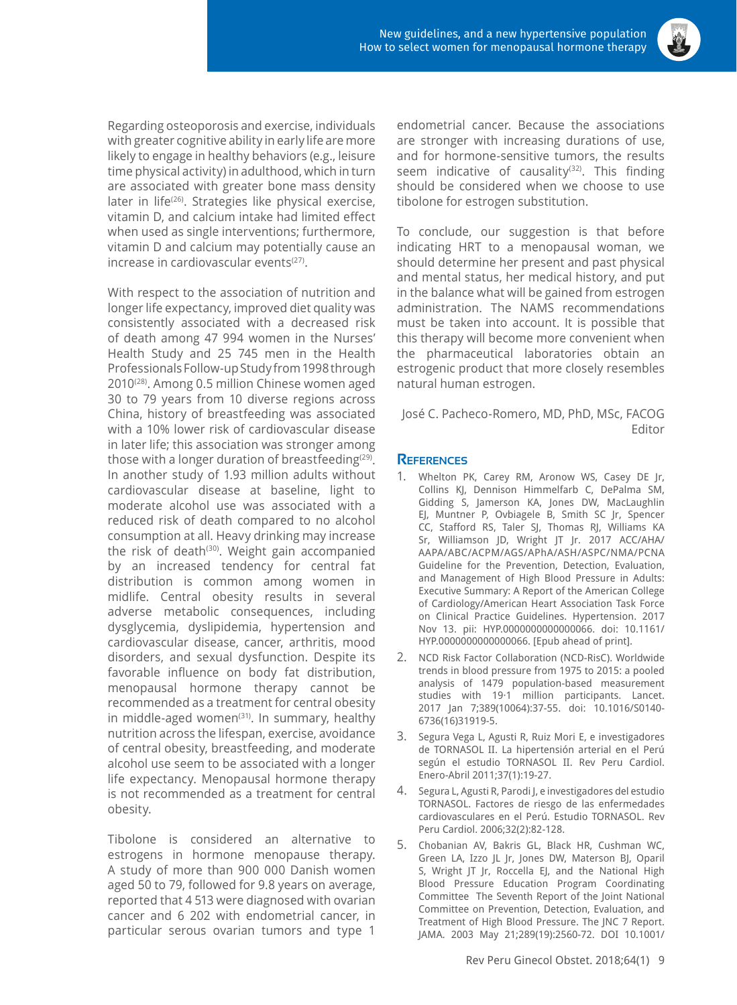

Regarding osteoporosis and exercise, individuals with greater cognitive ability in early life are more likely to engage in healthy behaviors (e.g., leisure time physical activity) in adulthood, which in turn are associated with greater bone mass density later in life<sup>(26)</sup>. Strategies like physical exercise, vitamin D, and calcium intake had limited effect when used as single interventions; furthermore, vitamin D and calcium may potentially cause an increase in cardiovascular events<sup>(27)</sup>.

With respect to the association of nutrition and longer life expectancy, improved diet quality was consistently associated with a decreased risk of death among 47 994 women in the Nurses' Health Study and 25 745 men in the Health Professionals Follow-up Study from 1998 through 2010<sup>(28)</sup>. Among 0.5 million Chinese women aged 30 to 79 years from 10 diverse regions across China, history of breastfeeding was associated with a 10% lower risk of cardiovascular disease in later life; this association was stronger among those with a longer duration of breastfeeding<sup>(29)</sup>. In another study of 1.93 million adults without cardiovascular disease at baseline, light to moderate alcohol use was associated with a reduced risk of death compared to no alcohol consumption at all. Heavy drinking may increase the risk of death<sup>(30)</sup>. Weight gain accompanied by an increased tendency for central fat distribution is common among women in midlife. Central obesity results in several adverse metabolic consequences, including dysglycemia, dyslipidemia, hypertension and cardiovascular disease, cancer, arthritis, mood disorders, and sexual dysfunction. Despite its favorable influence on body fat distribution, menopausal hormone therapy cannot be recommended as a treatment for central obesity in middle-aged women $(31)$ . In summary, healthy nutrition across the lifespan, exercise, avoidance of central obesity, breastfeeding, and moderate alcohol use seem to be associated with a longer life expectancy. Menopausal hormone therapy is not recommended as a treatment for central obesity.

Tibolone is considered an alternative to estrogens in hormone menopause therapy. A study of more than 900 000 Danish women aged 50 to 79, followed for 9.8 years on average, reported that 4 513 were diagnosed with ovarian cancer and 6 202 with endometrial cancer, in particular serous ovarian tumors and type 1

endometrial cancer. Because the associations are stronger with increasing durations of use, and for hormone-sensitive tumors, the results seem indicative of causality<sup>(32)</sup>. This finding should be considered when we choose to use tibolone for estrogen substitution.

To conclude, our suggestion is that before indicating HRT to a menopausal woman, we should determine her present and past physical and mental status, her medical history, and put in the balance what will be gained from estrogen administration. The NAMS recommendations must be taken into account. It is possible that this therapy will become more convenient when the pharmaceutical laboratories obtain an estrogenic product that more closely resembles natural human estrogen.

José C. Pacheco-Romero, MD, PhD, MSc, FACOG Editor

### **References**

- 1. Whelton PK, Carey RM, Aronow WS, Casey DE Jr, Collins KJ, Dennison Himmelfarb C, DePalma SM, Gidding S, Jamerson KA, Jones DW, MacLaughlin EJ, Muntner P, Ovbiagele B, Smith SC Jr, Spencer CC, Stafford RS, Taler SJ, Thomas RJ, Williams KA Sr, Williamson JD, Wright JT Jr. 2017 ACC/AHA/ AAPA/ABC/ACPM/AGS/APhA/ASH/ASPC/NMA/PCNA Guideline for the Prevention, Detection, Evaluation, and Management of High Blood Pressure in Adults: Executive Summary: A Report of the American College of Cardiology/American Heart Association Task Force on Clinical Practice Guidelines. Hypertension. 2017 Nov 13. pii: HYP.0000000000000066. doi: 10.1161/ HYP.0000000000000066. [Epub ahead of print].
- 2. NCD Risk Factor Collaboration (NCD-RisC). Worldwide trends in blood pressure from 1975 to 2015: a pooled analysis of 1479 population-based measurement studies with 19·1 million participants. Lancet. 2017 Jan 7;389(10064):37-55. doi: 10.1016/S0140- 6736(16)31919-5.
- 3. Segura Vega L, Agusti R, Ruiz Mori E, e investigadores de TORNASOL II. La hipertensión arterial en el Perú según el estudio TORNASOL II. Rev Peru Cardiol. Enero-Abril 2011;37(1):19-27.
- 4. Segura L, Agusti R, Parodi J, e investigadores del estudio TORNASOL. Factores de riesgo de las enfermedades cardiovasculares en el Perú. Estudio TORNASOL. Rev Peru Cardiol. 2006;32(2):82-128.
- 5. Chobanian AV, Bakris GL, Black HR, Cushman WC, Green LA, Izzo JL Jr, Jones DW, Materson BJ, Oparil S, Wright JT Jr, Roccella EJ, and the National High Blood Pressure Education Program Coordinating Committee The Seventh Report of the Joint National Committee on Prevention, Detection, Evaluation, and Treatment of High Blood Pressure. The JNC 7 Report. JAMA. 2003 May 21;289(19):2560-72. DOI 10.1001/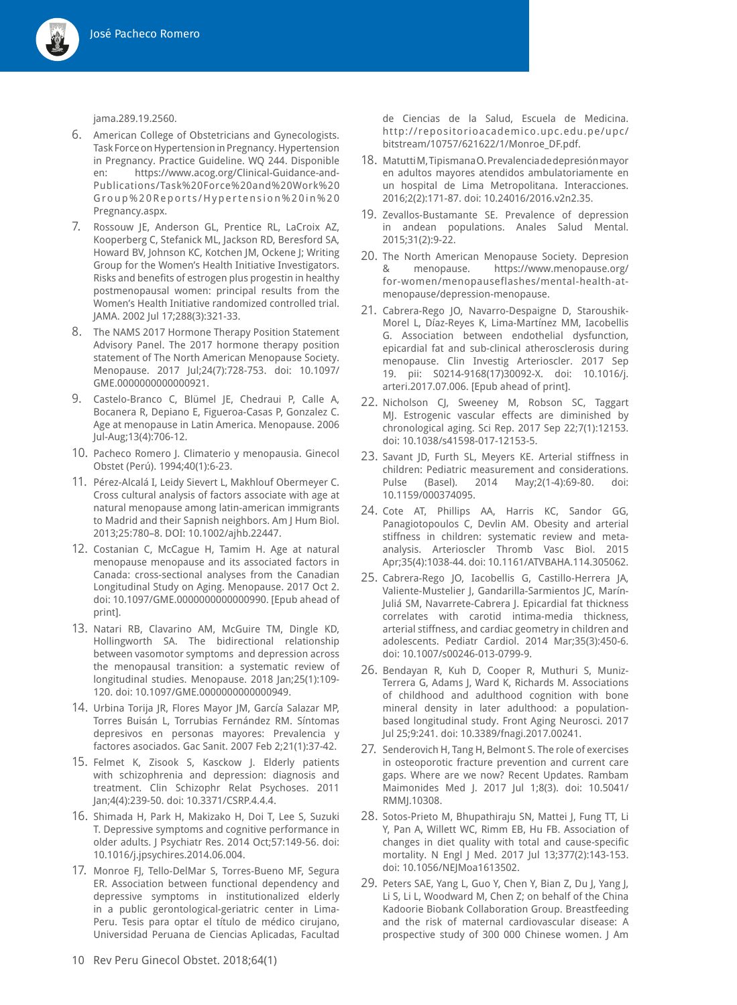

jama.289.19.2560.

- 6. American College of Obstetricians and Gynecologists. Task Force on Hypertension in Pregnancy. Hypertension in Pregnancy. Practice Guideline. WQ 244. Disponible en: https://www.acog.org/Clinical-Guidance-and-Publications/Task%20Force%20and%20Work%20 Group%20Reports/Hypertension%20in%20 Pregnancy.aspx.
- 7. Rossouw JE, Anderson GL, Prentice RL, LaCroix AZ, Kooperberg C, Stefanick ML, Jackson RD, Beresford SA, Howard BV, Johnson KC, Kotchen JM, Ockene J; Writing Group for the Women's Health Initiative Investigators. Risks and benefits of estrogen plus progestin in healthy postmenopausal women: principal results from the Women's Health Initiative randomized controlled trial. JAMA. 2002 Jul 17;288(3):321-33.
- 8. The NAMS 2017 Hormone Therapy Position Statement Advisory Panel. The 2017 hormone therapy position statement of The North American Menopause Society. Menopause. 2017 Jul;24(7):728-753. doi: 10.1097/ GME.0000000000000921.
- 9. Castelo-Branco C, Blümel JE, Chedraui P, Calle A, Bocanera R, Depiano E, Figueroa-Casas P, Gonzalez C. Age at menopause in Latin America. Menopause. 2006 Jul-Aug;13(4):706-12.
- 10. Pacheco Romero J. Climaterio y menopausia. Ginecol Obstet (Perú). 1994;40(1):6-23.
- 11. Pérez-Alcalá I, Leidy Sievert L, Makhlouf Obermeyer C. Cross cultural analysis of factors associate with age at natural menopause among latin-american immigrants to Madrid and their Sapnish neighbors. Am J Hum Biol. 2013;25:780–8. DOI: 10.1002/ajhb.22447.
- 12. Costanian C, McCague H, Tamim H. Age at natural menopause menopause and its associated factors in Canada: cross-sectional analyses from the Canadian Longitudinal Study on Aging. Menopause. 2017 Oct 2. doi: 10.1097/GME.0000000000000990. [Epub ahead of print].
- 13. Natari RB, Clavarino AM, McGuire TM, Dingle KD, Hollingworth SA. The bidirectional relationship between vasomotor symptoms and depression across the menopausal transition: a systematic review of longitudinal studies. Menopause. 2018 Jan;25(1):109- 120. doi: 10.1097/GME.0000000000000949.
- 14. Urbina Torija JR, Flores Mayor JM, García Salazar MP, Torres Buisán L, Torrubias Fernández RM. Síntomas depresivos en personas mayores: Prevalencia y factores asociados. Gac Sanit. 2007 Feb 2;21(1):37-42.
- 15. Felmet K, Zisook S, Kasckow J. Elderly patients with schizophrenia and depression: diagnosis and treatment. Clin Schizophr Relat Psychoses. 2011 Jan;4(4):239-50. doi: 10.3371/CSRP.4.4.4.
- 16. Shimada H, Park H, Makizako H, Doi T, Lee S, Suzuki T. Depressive symptoms and cognitive performance in older adults. J Psychiatr Res. 2014 Oct;57:149-56. doi: 10.1016/j.jpsychires.2014.06.004.
- 17. Monroe FJ, Tello-DelMar S, Torres-Bueno MF, Segura ER. Association between functional dependency and depressive symptoms in institutionalized elderly in a public gerontological-geriatric center in Lima-Peru. Tesis para optar el título de médico cirujano, Universidad Peruana de Ciencias Aplicadas, Facultad
- 18. Matutti M, Tipismana O. Prevalencia de depresión mayor en adultos mayores atendidos ambulatoriamente en un hospital de Lima Metropolitana. Interacciones. 2016;2(2):171-87. doi: 10.24016/2016.v2n2.35.
- 19. Zevallos-Bustamante SE. Prevalence of depression in andean populations. Anales Salud Mental. 2015;31(2):9-22.
- 20. The North American Menopause Society. Depresion & menopause. https://www.menopause.org/ for-women/menopauseflashes/mental-health-atmenopause/depression-menopause.
- 21. Cabrera-Rego JO, Navarro-Despaigne D, Staroushik-Morel L, Díaz-Reyes K, Lima-Martínez MM, Iacobellis G. Association between endothelial dysfunction, epicardial fat and sub-clinical atherosclerosis during menopause. Clin Investig Arterioscler. 2017 Sep 19. pii: S0214-9168(17)30092-X. doi: 10.1016/j. arteri.2017.07.006. [Epub ahead of print].
- 22. Nicholson CJ, Sweeney M, Robson SC, Taggart MJ. Estrogenic vascular effects are diminished by chronological aging. Sci Rep. 2017 Sep 22;7(1):12153. doi: 10.1038/s41598-017-12153-5.
- 23. Savant JD, Furth SL, Meyers KE. Arterial stiffness in children: Pediatric measurement and considerations. Pulse (Basel). 2014 May;2(1-4):69-80. doi: 10.1159/000374095.
- 24. Cote AT, Phillips AA, Harris KC, Sandor GG, Panagiotopoulos C, Devlin AM. Obesity and arterial stiffness in children: systematic review and metaanalysis. Arterioscler Thromb Vasc Biol. 2015 Apr;35(4):1038-44. doi: 10.1161/ATVBAHA.114.305062.
- 25. Cabrera-Rego JO, Iacobellis G, Castillo-Herrera JA, Valiente-Mustelier J, Gandarilla-Sarmientos JC, Marín-Juliá SM, Navarrete-Cabrera J. Epicardial fat thickness correlates with carotid intima-media thickness, arterial stiffness, and cardiac geometry in children and adolescents. Pediatr Cardiol. 2014 Mar;35(3):450-6. doi: 10.1007/s00246-013-0799-9.
- 26. Bendayan R, Kuh D, Cooper R, Muthuri S, Muniz-Terrera G, Adams J, Ward K, Richards M. Associations of childhood and adulthood cognition with bone mineral density in later adulthood: a populationbased longitudinal study. Front Aging Neurosci. 2017 Jul 25;9:241. doi: 10.3389/fnagi.2017.00241.
- 27. Senderovich H, Tang H, Belmont S. The role of exercises in osteoporotic fracture prevention and current care gaps. Where are we now? Recent Updates. Rambam Maimonides Med J. 2017 Jul 1;8(3). doi: 10.5041/ RMMJ.10308.
- 28. Sotos-Prieto M, Bhupathiraju SN, Mattei J, Fung TT, Li Y, Pan A, Willett WC, Rimm EB, Hu FB. Association of changes in diet quality with total and cause-specific mortality. N Engl J Med. 2017 Jul 13;377(2):143-153. doi: 10.1056/NEJMoa1613502.
- 29. Peters SAE, Yang L, Guo Y, Chen Y, Bian Z, Du J, Yang J, Li S, Li L, Woodward M, Chen Z; on behalf of the China Kadoorie Biobank Collaboration Group. Breastfeeding and the risk of maternal cardiovascular disease: A prospective study of 300 000 Chinese women. J Am